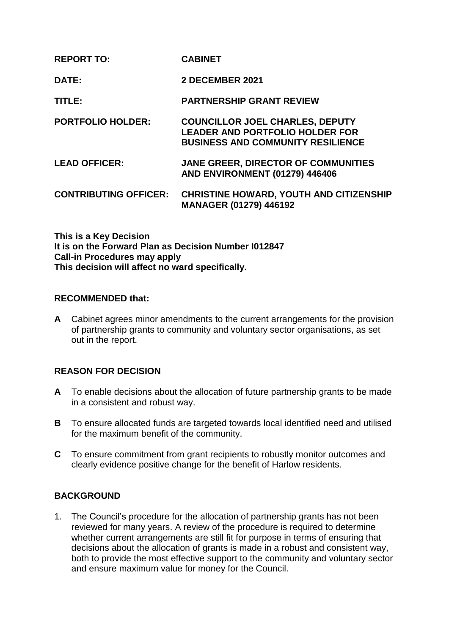| <b>REPORT TO:</b>            | <b>CABINET</b>                                                                                                               |
|------------------------------|------------------------------------------------------------------------------------------------------------------------------|
| DATE:                        | 2 DECEMBER 2021                                                                                                              |
| TITLE:                       | <b>PARTNERSHIP GRANT REVIEW</b>                                                                                              |
| <b>PORTFOLIO HOLDER:</b>     | <b>COUNCILLOR JOEL CHARLES, DEPUTY</b><br><b>LEADER AND PORTFOLIO HOLDER FOR</b><br><b>BUSINESS AND COMMUNITY RESILIENCE</b> |
| <b>LEAD OFFICER:</b>         | <b>JANE GREER, DIRECTOR OF COMMUNITIES</b><br><b>AND ENVIRONMENT (01279) 446406</b>                                          |
| <b>CONTRIBUTING OFFICER:</b> | <b>CHRISTINE HOWARD, YOUTH AND CITIZENSHIP</b><br><b>MANAGER (01279) 446192</b>                                              |

**This is a Key Decision It is on the Forward Plan as Decision Number I012847 Call-in Procedures may apply This decision will affect no ward specifically.**

#### **RECOMMENDED that:**

**A** Cabinet agrees minor amendments to the current arrangements for the provision of partnership grants to community and voluntary sector organisations, as set out in the report.

# **REASON FOR DECISION**

- **A** To enable decisions about the allocation of future partnership grants to be made in a consistent and robust way.
- **B** To ensure allocated funds are targeted towards local identified need and utilised for the maximum benefit of the community.
- **C** To ensure commitment from grant recipients to robustly monitor outcomes and clearly evidence positive change for the benefit of Harlow residents.

## **BACKGROUND**

1. The Council's procedure for the allocation of partnership grants has not been reviewed for many years. A review of the procedure is required to determine whether current arrangements are still fit for purpose in terms of ensuring that decisions about the allocation of grants is made in a robust and consistent way, both to provide the most effective support to the community and voluntary sector and ensure maximum value for money for the Council.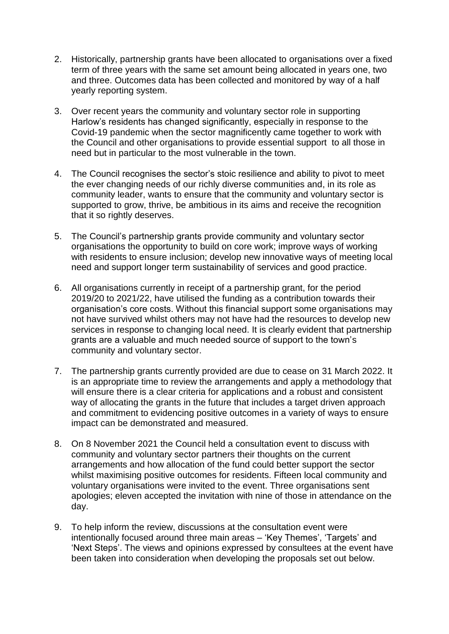- 2. Historically, partnership grants have been allocated to organisations over a fixed term of three years with the same set amount being allocated in years one, two and three. Outcomes data has been collected and monitored by way of a half yearly reporting system.
- 3. Over recent years the community and voluntary sector role in supporting Harlow's residents has changed significantly, especially in response to the Covid-19 pandemic when the sector magnificently came together to work with the Council and other organisations to provide essential support to all those in need but in particular to the most vulnerable in the town.
- 4. The Council recognises the sector's stoic resilience and ability to pivot to meet the ever changing needs of our richly diverse communities and, in its role as community leader, wants to ensure that the community and voluntary sector is supported to grow, thrive, be ambitious in its aims and receive the recognition that it so rightly deserves.
- 5. The Council's partnership grants provide community and voluntary sector organisations the opportunity to build on core work; improve ways of working with residents to ensure inclusion; develop new innovative ways of meeting local need and support longer term sustainability of services and good practice.
- 6. All organisations currently in receipt of a partnership grant, for the period 2019/20 to 2021/22, have utilised the funding as a contribution towards their organisation's core costs. Without this financial support some organisations may not have survived whilst others may not have had the resources to develop new services in response to changing local need. It is clearly evident that partnership grants are a valuable and much needed source of support to the town's community and voluntary sector.
- 7. The partnership grants currently provided are due to cease on 31 March 2022. It is an appropriate time to review the arrangements and apply a methodology that will ensure there is a clear criteria for applications and a robust and consistent way of allocating the grants in the future that includes a target driven approach and commitment to evidencing positive outcomes in a variety of ways to ensure impact can be demonstrated and measured.
- 8. On 8 November 2021 the Council held a consultation event to discuss with community and voluntary sector partners their thoughts on the current arrangements and how allocation of the fund could better support the sector whilst maximising positive outcomes for residents. Fifteen local community and voluntary organisations were invited to the event. Three organisations sent apologies; eleven accepted the invitation with nine of those in attendance on the day.
- 9. To help inform the review, discussions at the consultation event were intentionally focused around three main areas – 'Key Themes', 'Targets' and 'Next Steps'. The views and opinions expressed by consultees at the event have been taken into consideration when developing the proposals set out below.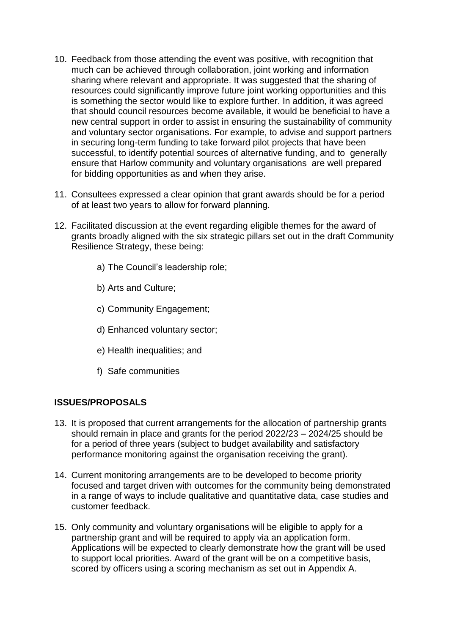- 10. Feedback from those attending the event was positive, with recognition that much can be achieved through collaboration, joint working and information sharing where relevant and appropriate. It was suggested that the sharing of resources could significantly improve future joint working opportunities and this is something the sector would like to explore further. In addition, it was agreed that should council resources become available, it would be beneficial to have a new central support in order to assist in ensuring the sustainability of community and voluntary sector organisations. For example, to advise and support partners in securing long-term funding to take forward pilot projects that have been successful, to identify potential sources of alternative funding, and to generally ensure that Harlow community and voluntary organisations are well prepared for bidding opportunities as and when they arise.
- 11. Consultees expressed a clear opinion that grant awards should be for a period of at least two years to allow for forward planning.
- 12. Facilitated discussion at the event regarding eligible themes for the award of grants broadly aligned with the six strategic pillars set out in the draft Community Resilience Strategy, these being:
	- a) The Council's leadership role;
	- b) Arts and Culture;
	- c) Community Engagement;
	- d) Enhanced voluntary sector;
	- e) Health inequalities; and
	- f) Safe communities

## **ISSUES/PROPOSALS**

- 13. It is proposed that current arrangements for the allocation of partnership grants should remain in place and grants for the period 2022/23 – 2024/25 should be for a period of three years (subject to budget availability and satisfactory performance monitoring against the organisation receiving the grant).
- 14. Current monitoring arrangements are to be developed to become priority focused and target driven with outcomes for the community being demonstrated in a range of ways to include qualitative and quantitative data, case studies and customer feedback.
- 15. Only community and voluntary organisations will be eligible to apply for a partnership grant and will be required to apply via an application form. Applications will be expected to clearly demonstrate how the grant will be used to support local priorities. Award of the grant will be on a competitive basis, scored by officers using a scoring mechanism as set out in Appendix A.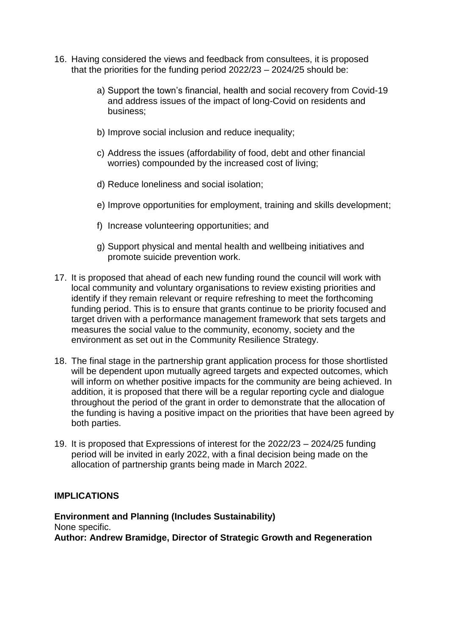- 16. Having considered the views and feedback from consultees, it is proposed that the priorities for the funding period 2022/23 – 2024/25 should be:
	- a) Support the town's financial, health and social recovery from Covid-19 and address issues of the impact of long-Covid on residents and business;
	- b) Improve social inclusion and reduce inequality;
	- c) Address the issues (affordability of food, debt and other financial worries) compounded by the increased cost of living;
	- d) Reduce loneliness and social isolation;
	- e) Improve opportunities for employment, training and skills development;
	- f) Increase volunteering opportunities; and
	- g) Support physical and mental health and wellbeing initiatives and promote suicide prevention work.
- 17. It is proposed that ahead of each new funding round the council will work with local community and voluntary organisations to review existing priorities and identify if they remain relevant or require refreshing to meet the forthcoming funding period. This is to ensure that grants continue to be priority focused and target driven with a performance management framework that sets targets and measures the social value to the community, economy, society and the environment as set out in the Community Resilience Strategy.
- 18. The final stage in the partnership grant application process for those shortlisted will be dependent upon mutually agreed targets and expected outcomes, which will inform on whether positive impacts for the community are being achieved. In addition, it is proposed that there will be a regular reporting cycle and dialogue throughout the period of the grant in order to demonstrate that the allocation of the funding is having a positive impact on the priorities that have been agreed by both parties.
- 19. It is proposed that Expressions of interest for the 2022/23 2024/25 funding period will be invited in early 2022, with a final decision being made on the allocation of partnership grants being made in March 2022.

## **IMPLICATIONS**

**Environment and Planning (Includes Sustainability)** None specific. **Author: Andrew Bramidge, Director of Strategic Growth and Regeneration**